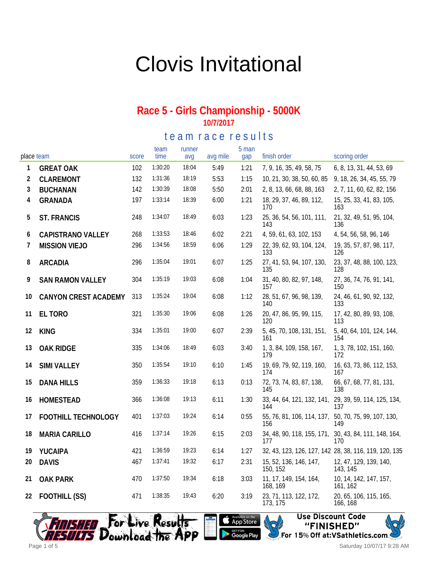# Clovis Invitational

#### **Race 5 - Girls Championship - 5000K 10/7/2017**

te a m r a c e r e sults

| place team |                             | score | team<br>time | runner<br>avq | avg mile | 5 man<br>gap | finish order                       | scoring order                                                |
|------------|-----------------------------|-------|--------------|---------------|----------|--------------|------------------------------------|--------------------------------------------------------------|
| 1          | <b>GREAT OAK</b>            | 102   | 1:30:20      | 18:04         | 5:49     | 1:21         | 7, 9, 16, 35, 49, 58, 75           | 6, 8, 13, 31, 44, 53, 69                                     |
| 2          | CLAREMONT                   | 132   | 1:31:36      | 18:19         | 5:53     | 1:15         | 10, 21, 30, 38, 50, 60, 85         | 9, 18, 26, 34, 45, 55, 79                                    |
| 3          | <b>BUCHANAN</b>             | 142   | 1:30:39      | 18:08         | 5:50     | 2:01         | 2, 8, 13, 66, 68, 88, 163          | 2, 7, 11, 60, 62, 82, 156                                    |
| 4          | <b>GRANADA</b>              | 197   | 1:33:14      | 18:39         | 6:00     | 1:21         | 18, 29, 37, 46, 89, 112,<br>170    | 15, 25, 33, 41, 83, 105,<br>163                              |
| 5          | <b>ST. FRANCIS</b>          | 248   | 1:34:07      | 18:49         | 6:03     | 1:23         | 25, 36, 54, 56, 101, 111,<br>143   | 21, 32, 49, 51, 95, 104,<br>136                              |
| 6          | <b>CAPISTRANO VALLEY</b>    | 268   | 1:33:53      | 18:46         | 6:02     | 2:21         | 4, 59, 61, 63, 102, 153            | 4, 54, 56, 58, 96, 146                                       |
| 7          | <b>MISSION VIEJO</b>        | 296   | 1:34:56      | 18:59         | 6:06     | 1:29         | 22, 39, 62, 93, 104, 124,<br>133   | 19, 35, 57, 87, 98, 117,<br>126                              |
| 8          | <b>ARCADIA</b>              | 296   | 1:35:04      | 19:01         | 6:07     | 1:25         | 27, 41, 53, 94, 107, 130,<br>135   | 23, 37, 48, 88, 100, 123,<br>128                             |
| 9          | <b>SAN RAMON VALLEY</b>     | 304   | 1:35:19      | 19:03         | 6:08     | 1:04         | 31, 40, 80, 82, 97, 148,<br>157    | 27, 36, 74, 76, 91, 141,<br>150                              |
| 10         | <b>CANYON CREST ACADEMY</b> | 313   | 1:35:24      | 19:04         | 6:08     | 1:12         | 28, 51, 67, 96, 98, 139,<br>140    | 24, 46, 61, 90, 92, 132,<br>133                              |
| 11         | EL TORO                     | 321   | 1:35:30      | 19:06         | 6:08     | 1:26         | 20, 47, 86, 95, 99, 115,<br>120    | 17, 42, 80, 89, 93, 108,<br>113                              |
| 12         | <b>KING</b>                 | 334   | 1:35:01      | 19:00         | 6:07     | 2:39         | 5, 45, 70, 108, 131, 151,<br>161   | 5, 40, 64, 101, 124, 144,<br>154                             |
| 13         | <b>OAK RIDGE</b>            | 335   | 1:34:06      | 18:49         | 6:03     | 3:40         | 1, 3, 84, 109, 158, 167,<br>179    | 1, 3, 78, 102, 151, 160,<br>172                              |
| 14         | <b>SIMI VALLEY</b>          | 350   | 1:35:54      | 19:10         | 6:10     | 1:45         | 19, 69, 79, 92, 119, 160,<br>174   | 16, 63, 73, 86, 112, 153,<br>167                             |
| 15         | <b>DANA HILLS</b>           | 359   | 1:36:33      | 19:18         | 6:13     | 0:13         | 72, 73, 74, 83, 87, 138,<br>145    | 66, 67, 68, 77, 81, 131,<br>138                              |
| 16         | <b>HOMESTEAD</b>            | 366   | 1:36:08      | 19:13         | 6:11     | 1:30         | 144                                | 33, 44, 64, 121, 132, 141, 29, 39, 59, 114, 125, 134,<br>137 |
| 17         | FOOTHILL TECHNOLOGY         | 401   | 1:37:03      | 19:24         | 6:14     | 0:55         | 55, 76, 81, 106, 114, 137,<br>156  | 50, 70, 75, 99, 107, 130,<br>149                             |
| 18         | MARIA CARILLO               | 416   | 1:37:14      | 19:26         | 6:15     | 2:03         | 177                                | 34, 48, 90, 118, 155, 171, 30, 43, 84, 111, 148, 164,<br>170 |
| 19         | YUCAIPA                     | 421   | 1:36:59      | 19:23         | 6:14     | 1:27         |                                    | 32, 43, 123, 126, 127, 142 28, 38, 116, 119, 120, 135        |
| 20         | <b>DAVIS</b>                | 467   | 1:37:41      | 19:32         | 6:17     | 2:31         | 15, 52, 136, 146, 147,<br>150, 152 | 12, 47, 129, 139, 140,<br>143, 145                           |
| 21         | <b>OAK PARK</b>             | 470   | 1:37:50      | 19:34         | 6:18     | 3:03         | 11, 17, 149, 154, 164,<br>168, 169 | 10, 14, 142, 147, 157,<br>161, 162                           |
| 22         | FOOTHILL (SS)               | 471   | 1:38:35      | 19:43         | 6:20     | 3:19         | 23, 71, 113, 122, 172,<br>173, 175 | 20, 65, 106, 115, 165,<br>166, 168                           |





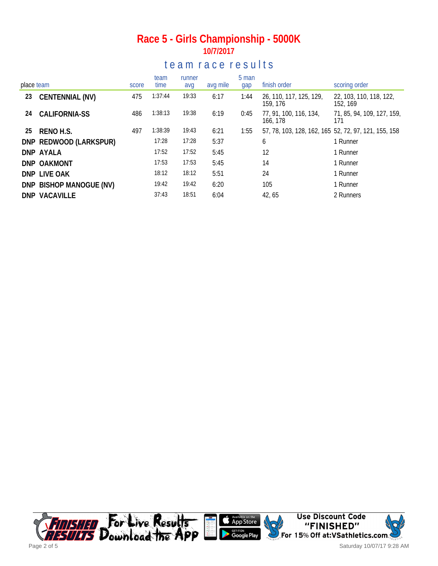### **Race 5 - Girls Championship - 5000K 10/7/2017**

### te a m r a c e r e s ults

| place team |                         | score | team<br>time | runner<br>avg | avg mile | 5 man<br>gap | finish order                                          | scoring order                       |
|------------|-------------------------|-------|--------------|---------------|----------|--------------|-------------------------------------------------------|-------------------------------------|
| 23         | CENTENNIAL (NV)         | 475   | 1:37:44      | 19:33         | 6:17     | 1:44         | 26, 110, 117, 125, 129,<br>159, 176                   | 22, 103, 110, 118, 122,<br>152, 169 |
| 24         | <b>CALIFORNIA-SS</b>    | 486   | 1:38:13      | 19:38         | 6:19     | 0:45         | 77, 91, 100, 116, 134,<br>166, 178                    | 71, 85, 94, 109, 127, 159,<br>171   |
| 25         | RENO H.S.               | 497   | 1:38:39      | 19:43         | 6:21     | 1:55         | 57, 78, 103, 128, 162, 165, 52, 72, 97, 121, 155, 158 |                                     |
|            | DNP REDWOOD (LARKSPUR)  |       | 17:28        | 17:28         | 5:37     |              | 6                                                     | 1 Runner                            |
|            | DNP AYALA               |       | 17:52        | 17:52         | 5:45     |              | 12                                                    | 1 Runner                            |
|            | DNP OAKMONT             |       | 17:53        | 17:53         | 5:45     |              | 14                                                    | 1 Runner                            |
|            | DNP LIVE OAK            |       | 18:12        | 18:12         | 5:51     |              | 24                                                    | 1 Runner                            |
|            | DNP BISHOP MANOGUE (NV) |       | 19:42        | 19:42         | 6:20     |              | 105                                                   | 1 Runner                            |
|            | DNP VACAVILLE           |       | 37:43        | 18:51         | 6:04     |              | 42, 65                                                | 2 Runners                           |



Saturday 10/07/17 9:28 AM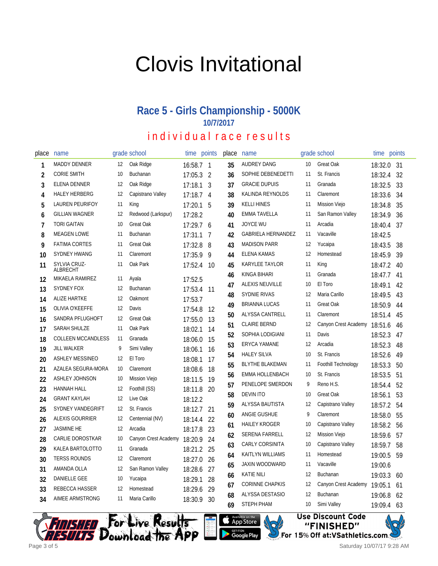# Clovis Invitational

## **Race 5 - Girls Championship - 5000K 10/7/2017**

## individual race results

| place          | name                                     |                   | grade school         | time               | points         | place | name                      |    | grade school         | time points |    |
|----------------|------------------------------------------|-------------------|----------------------|--------------------|----------------|-------|---------------------------|----|----------------------|-------------|----|
| 1              | <b>MADDY DENNER</b>                      | $12 \overline{ }$ | Oak Ridge            | 16:58.7 1          |                | 35    | AUDREY DANG               | 10 | <b>Great Oak</b>     | 18:32.0     | 31 |
| 2              | <b>CORIE SMITH</b>                       | 10                | Buchanan             | 17:05.3            | $\overline{2}$ | 36    | SOPHIE DEBENEDETTI        | 11 | St. Francis          | 18:32.4     | 32 |
| 3              | ELENA DENNER                             | 12                | Oak Ridge            | 17:18.1            | $\mathbf{3}$   | 37    | <b>GRACIE DUPUIS</b>      | 11 | Granada              | 18:32.5     | 33 |
| 4              | <b>HALEY HERBERG</b>                     | 12                | Capistrano Valley    | 17:18.7            | $\overline{4}$ | 38    | KALINDA REYNOLDS          | 11 | Claremont            | 18:33.6     | 34 |
| 5              | LAUREN PEURIFOY                          | 11                | King                 | 17:20.1            | 5              | 39    | <b>KELLI HINES</b>        | 11 | Mission Viejo        | 18:34.8     | 35 |
| 6              | <b>GILLIAN WAGNER</b>                    | 12                | Redwood (Larkspur)   | 17:28.2            |                | 40    | <b>EMMA TAVELLA</b>       | 11 | San Ramon Valley     | 18:34.9     | 36 |
| $\overline{1}$ | <b>TORI GAITAN</b>                       | 10                | Great Oak            | 17:29.7 6          |                | 41    | <b>JOYCE WU</b>           | 11 | Arcadia              | 18:40.4     | 37 |
| 8              | <b>MEAGEN LOWE</b>                       | 11                | Buchanan             | 17:31.1            | 7              | 42    | <b>GABRIELA HERNANDEZ</b> | 11 | Vacaville            | 18:42.5     |    |
| 9              | <b>FATIMA CORTES</b>                     | 11                | <b>Great Oak</b>     | 17:32.8            | 8              | 43    | <b>MADISON PARR</b>       | 12 | Yucaipa              | 18:43.5     | 38 |
| 10             | <b>SYDNEY HWANG</b>                      | 11                | Claremont            | 17:35.9            | - 9            | 44    | <b>ELENA KAMAS</b>        | 12 | Homestead            | 18:45.9     | 39 |
| 11             | SYLVIA CRUZ-                             | 11                | Oak Park             | 17:52.4            | 10             | 45    | KARYLEE TAYLOR            | 11 | King                 | 18:47.2     | 40 |
| 12             | ALBRECHT<br>MIKAELA RAMIREZ              | 11                | Ayala                | 17:52.5            |                | 46    | KINGA BIHARI              | 11 | Granada              | 18:47.7     | 41 |
| 13             | <b>SYDNEY FOX</b>                        | 12                | Buchanan             | 17:53.4            | -11            | 47    | ALEXIS NEUVILLE           | 10 | El Toro              | 18:49.1     | 42 |
| 14             | <b>ALIZE HARTKE</b>                      | 12                | Oakmont              | 17:53.7            |                | 48    | <b>SYDNIE RIVAS</b>       | 12 | Maria Carillo        | 18:49.5     | 43 |
| 15             | OLIVIA O'KEEFFE                          | 12                | Davis                | 17:54.8            | 12             | 49    | <b>BRIANNA LUCAS</b>      | 11 | Great Oak            | 18:50.9     | 44 |
| 16             | SANDRA PFLUGHOFT                         | 12                | Great Oak            | 17:55.0            | 13             | 50    | ALYSSA CANTRELL           | 11 | Claremont            | 18:51.4     | 45 |
| 17             | SARAH SHULZE                             | 11                | Oak Park             | 18:02.1            | 14             | 51    | <b>CLAIRE BERND</b>       | 12 | Canyon Crest Academy | 18:51.6     | 46 |
| 18             | <b>COLLEEN MCCANDLESS</b>                | 11                | Granada              | 18:06.0            | 15             | 52    | SOPHIA LODIGIANI          | 11 | Davis                | 18:52.3     | 47 |
| 19             | <b>JILL WALKER</b>                       | 9                 | Simi Valley          | 18:06.1            | 16             | 53    | <b>ERYCA YAMANE</b>       | 12 | Arcadia              | 18:52.3     | 48 |
|                | <b>ASHLEY MESSINEO</b>                   | 12                | El Toro              |                    | 17             | 54    | <b>HALEY SILVA</b>        | 10 | St. Francis          | 18:52.6     | 49 |
| 20<br>21       | AZALEA SEGURA-MORA                       | 10                | Claremont            | 18:08.1<br>18:08.6 | 18             | 55    | <b>BLYTHE BLAKEMAN</b>    | 11 | Foothill Technology  | 18:53.3     | 50 |
| 22             | ASHLEY JOHNSON                           | 10                | Mission Viejo        | 18:11.5            | 19             | 56    | EMMA HOLLENBACH           | 10 | St. Francis          | 18:53.5     | 51 |
| 23             | <b>HANNAH HALL</b>                       | 12                | Foothill (SS)        |                    | 20             | 57    | PENELOPE SMERDON          | 9  | Reno H.S.            | 18:54.4     | 52 |
| 24             | <b>GRANT KAYLAH</b>                      | 12                | Live Oak             | 18:11.8<br>18:12.2 |                | 58    | <b>DEVIN ITO</b>          | 10 | Great Oak            | 18:56.1     | 53 |
| 25             | SYDNEY VANDEGRIFT                        | 12                | St. Francis          | 18:12.7            | 21             | 59    | ALYSSA BAUTISTA           | 12 | Capistrano Valley    | 18:57.2     | 54 |
|                | ALEXIS GOURRIER                          | 12                | Centennial (NV)      |                    | 22             | 60    | ANGIE GUSHUE              | 9  | Claremont            | 18:58.0     | 55 |
| 26             | <b>JASMINE HE</b>                        | 12                | Arcadia              | 18:14.4            | 23             | 61    | <b>HAILEY KROGER</b>      | 10 | Capistrano Valley    | 18:58.2     | 56 |
| 27             | CARLIE DOROSTKAR                         | 10                | Canyon Crest Academy | 18:17.8            | 24             | 62    | SERENA FARRELL            | 12 | Mission Viejo        | 18:59.6     | 57 |
| 28             | KALEA BARTOLOTTO                         | 11                | Granada              | 18:20.9            |                | 63    | CARLY CORSINITA           | 10 | Capistrano Valley    | 18:59.7     | 58 |
| 29             | <b>TERSS ROUNDS</b>                      | 12                | Claremont            | 18:21.2 25         |                | 64    | KAITLYN WILLIAMS          | 11 | Homestead            | 19:00.5     | 59 |
| 30             |                                          |                   |                      | 18:27.0            | 26             | 65    | <b>JAXIN WOODWARD</b>     | 11 | Vacaville            | 19:00.6     |    |
| 31             | AMANDA OLLA<br><b>DANIELLE GEE</b>       | 12<br>10          | San Ramon Valley     | 18:28.6            | 27             | 66    | <b>KATIE NILI</b>         | 12 | Buchanan             | 19:03.3     | 60 |
| 32             |                                          |                   | Yucaipa<br>Homestead | 18:29.1            | 28             | 67    | <b>CORINNE CHAPKIS</b>    | 12 | Canyon Crest Academy | 19:05.1     | 61 |
| 33             | REBECCA HASSER<br><b>AIMEE ARMSTRONG</b> | 12<br>11          | Maria Carillo        | 18:29.6            | 29             | 68    | ALYSSA DESTASIO           | 12 | Buchanan             | 19:06.8     | 62 |
| 34             |                                          |                   |                      | 18:30.9            | - 30           | 69    | <b>STEPH PHAM</b>         | 10 | Simi Valley          | 19:09.4     | 63 |





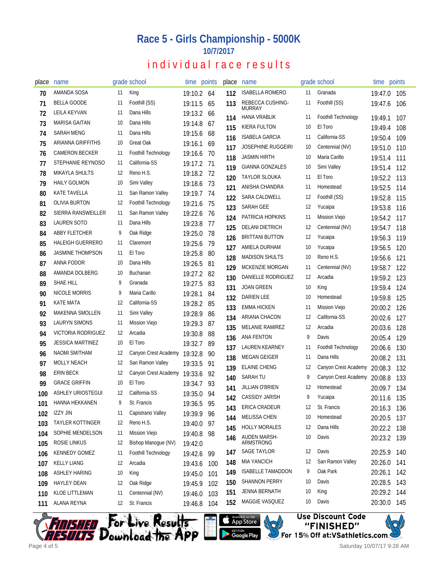### **Race 5 - Girls Championship - 5000K 10/7/2017**

## individual race results

| place | name                     |    | grade school                 | time points |      | place      | name                              |          | grade school           | time points        |     |
|-------|--------------------------|----|------------------------------|-------------|------|------------|-----------------------------------|----------|------------------------|--------------------|-----|
| 70    | AMANDA SOSA              | 11 | King                         | 19:10.2 64  |      | 112        | <b>ISABELLA ROMERO</b>            | 11       | Granada                | 19:47.0            | 105 |
| 71    | <b>BELLA GOODE</b>       | 11 | Foothill (SS)                | 19:11.5     | 65   | 113        | REBECCA CUSHING-<br><b>MURRAY</b> | 11       | Foothill (SS)          | 19:47.6            | 106 |
| 72    | <b>LEILA KEYVAN</b>      | 11 | Dana Hills                   | 19:13.2 66  |      | 114        | <b>HANA VRABLIK</b>               | 11       | Foothill Technology    | 19:49.1            | 107 |
| 73    | MARISA GAITAN            | 10 | Dana Hills                   | 19:14.8     | -67  | 115        | <b>KIERA FULTON</b>               | 10       | El Toro                | 19:49.4            | 108 |
| 74    | SARAH MENG               | 11 | Dana Hills                   | 19:15.6     | 68   | 116        | <b>ISABELA GARCIA</b>             | 11       | California-SS          | 19:50.4            | 109 |
| 75    | <b>ARIANNA GRIFFITHS</b> | 10 | <b>Great Oak</b>             | 19:16.1     | 69   | 117        | <b>JOSEPHINE RUGGEIRI</b>         | 10       | Centennial (NV)        | 19:51.0            | 110 |
| 76    | <b>CAMERON BECKER</b>    | 11 | Foothill Technology          | 19:16.6 70  |      | 118        | <b>JASMIN HIRTH</b>               | 10       | Maria Carillo          | 19:51.4            | 111 |
| 77    | STEPHANIE REYNOSO        | 11 | California-SS                | 19:17.2 71  |      | 119        | <b>GIANNA GONZALES</b>            | 10       | Simi Valley            | 19:51.4            | 112 |
| 78    | <b>MIKAYLA SHULTS</b>    | 12 | Reno H.S.                    | 19:18.2 72  |      | 120        | <b>TAYLOR SLOUKA</b>              | 11       | El Toro                | 19:52.2            | 113 |
| 79    | <b>HAILY GOLMON</b>      | 10 | Simi Valley                  | 19:18.6 73  |      | 121        | ANISHA CHANDRA                    | 11       | Homestead              | 19:52.5            | 114 |
| 80    | KATE TAVELLA             | 11 | San Ramon Valley             | 19:19.7     | 74   | 122        | SARA CALDWELL                     | 12       | Foothill (SS)          | 19:52.8            | 115 |
| 81    | OLIVIA BURTON            | 12 | <b>Foothill Technology</b>   | 19:21.6     | -75  | 123        | <b>SARAH GEE</b>                  | 12       | Yucaipa                | 19:53.8            | 116 |
| 82    | SIERRA RANSWEILLER       | 11 | San Ramon Valley             | 19:22.6     | - 76 | 124        | PATRICIA HOPKINS                  | 11       | <b>Mission Viejo</b>   | 19:54.2            | 117 |
| 83    | <b>LAUREN SOTO</b>       | 11 | Dana Hills                   | 19:23.8     | 77   | 125        | <b>DELANI DIETRICH</b>            | 12       | Centennial (NV)        | 19:54.7            | 118 |
| 84    | ABBY FLETCHER            | 9  | Oak Ridge                    | 19:25.0 78  |      | 126        | <b>BRITTANI BUTTON</b>            | 12       | Yucaipa                | 19:56.3            | 119 |
| 85    | <b>HALEIGH GUERRERO</b>  | 11 | Claremont                    | 19:25.6     | -79  | 127        | AMIELA DURHAM                     | 10       | Yucaipa                | 19:56.5            | 120 |
| 86    | <b>JASMINE THOMPSON</b>  | 11 | El Toro                      | 19:25.8     | 80   | 128        | <b>MADISON SHULTS</b>             | 10       | Reno H.S.              | 19:56.6            | 121 |
| 87    | <b>ANNA FODOR</b>        | 10 | Dana Hills                   | 19:26.5     | 81   | 129        | MCKENZIE MORGAN                   | 11       | Centennial (NV)        | 19:58.7            | 122 |
| 88    | AMANDA DOLBERG           | 10 | Buchanan                     | 19:27.2 82  |      | 130        | DANIELLE RODRIGUEZ                | 12       | Arcadia                | 19:59.2 123        |     |
| 89    | SHAE HILL                | 9  | Granada                      | 19:27.5     | 83   | 131        | <b>JOAN GREEN</b>                 | 10       | King                   | 19:59.4            | 124 |
| 90    | NICOLE MORRIS            | 9  | Maria Carillo                | 19:28.1     | 84   | 132        | <b>DARIEN LEE</b>                 | 10       | Homestead              | 19:59.8            | 125 |
| 91    | KATE MATA                | 12 | California-SS                | 19:28.2 85  |      | 133        | EMMA HICKEN                       | -11      | Mission Viejo          | 20:00.2            | 126 |
| 92    | <b>MAKENNA SMOLLEN</b>   | 11 | Simi Valley                  | 19:28.9     | 86   | 134        | ARIANA CHACON                     | 12       | California-SS          | 20:02.6            | 127 |
| 93    | <b>LAURYN SIMONS</b>     | 11 | <b>Mission Viejo</b>         | 19:29.3     | 87   | 135        | <b>MELANIE RAMIREZ</b>            | 12       | Arcadia                | 20:03.6            | 128 |
| 94    | VICTORIA RODRIGUEZ       | 12 | Arcadia                      | 19:30.8     | 88   |            | ANA FENTON                        | 9        | Davis                  |                    |     |
| 95    | <b>JESSICA MARTINEZ</b>  | 10 | El Toro                      | 19:32.7     | 89   | 136<br>137 | <b>LAUREN KEARNEY</b>             | 11       | Foothill Technology    | 20:05.4            | 129 |
| 96    | NAOMI SMITHAM            | 12 | Canyon Crest Academy 19:32.8 |             | 90   |            | <b>MEGAN GEIGER</b>               | 11       | Dana Hills             | 20:06.6<br>20:08.2 | 130 |
| 97    | <b>MOLLY NEACH</b>       | 12 | San Ramon Valley             | 19:33.5     | 91   | 138        | <b>ELAINE CHENG</b>               | 12       | Canyon Crest Academy   |                    | 131 |
| 98    | <b>ERIN BECK</b>         | 12 | Canyon Crest Academy 19:33.6 |             | 92   | 139        | <b>SARAH TU</b>                   | 9        | Canyon Crest Academy   | 20:08.3            | 132 |
| 99    | <b>GRACE GRIFFIN</b>     | 10 | El Toro                      | 19:34.7     | 93   | 140        | <b>JILLIAN O'BRIEN</b>            | 12       | Homestead              | 20:08.8            | 133 |
| 100   | <b>ASHLEY URIOSTEGUI</b> | 12 | California-SS                | 19:35.0     | 94   | 141        | CASSIDY JARISH                    | 9        |                        | 20:09.7            | 134 |
| 101   | HANNA HEKKANEN           | 9  | St. Francis                  | 19:36.5 95  |      | 142        | ERICA CRADEUR                     |          | Yucaipa<br>St. Francis | 20:11.6            | 135 |
| 102   | <b>IZZY JIN</b>          | 11 | Capistrano Valley            | 19:39.9 96  |      | 143        | <b>MELISSA CHEN</b>               | 12       | Homestead              | 20:16.3            | 136 |
| 103   | TAYLER KOTTINGER         | 12 | Reno H.S.                    | 19:40.0 97  |      | 144        | <b>HOLLY MORALES</b>              | 10<br>12 | Dana Hills             | 20:20.5            | 137 |
| 104   | SOPHIE MENDELSON         | 11 | <b>Mission Viejo</b>         | 19:40.8 98  |      | 145        |                                   |          |                        | 20:22.2 138        |     |
| 105   | <b>ROSIE LINKUS</b>      | 12 | Bishop Manogue (NV)          | 19:42.0     |      | 146        | <b>AUDEN MARSH-</b><br>ARMSTRONG  | 10       | Davis                  | 20:23.2 139        |     |
| 106   | <b>KENNEDY GOMEZ</b>     | 11 | Foothill Technology          | 19:42.6     | 99   | 147        | <b>SAGE TAYLOR</b>                | 12       | Davis                  | 20:25.9            | 140 |
| 107   | <b>KELLY LIANG</b>       | 12 | Arcadia                      | 19:43.6     | 100  | 148        | <b>MIA YANCICH</b>                | 12       | San Ramon Valley       | 20:26.0            | 141 |
| 108   | <b>ASHLEY HARING</b>     | 10 | King                         | 19:45.0 101 |      | 149        | <b>ISABELLE TAMADDON</b>          | 9        | Oak Park               | 20:26.1            | 142 |
| 109   | <b>HAYLEY DEAN</b>       | 12 | Oak Ridge                    | 19:45.9 102 |      | 150        | <b>SHANNON PERRY</b>              | 10       | Davis                  | 20:28.5            | 143 |
| 110   | <b>KLOE LITTLEMAN</b>    | 11 | Centennial (NV)              | 19:46.0     | 103  | 151        | JENNA BERNATH                     | 10       | King                   | 20:29.2 144        |     |
| 111   | ALANA REYNA              | 12 | St. Francis                  | 19:46.8 104 |      | 152        | MAGGIE VASQUEZ                    | 10       | Davis                  | 20:30.0 145        |     |